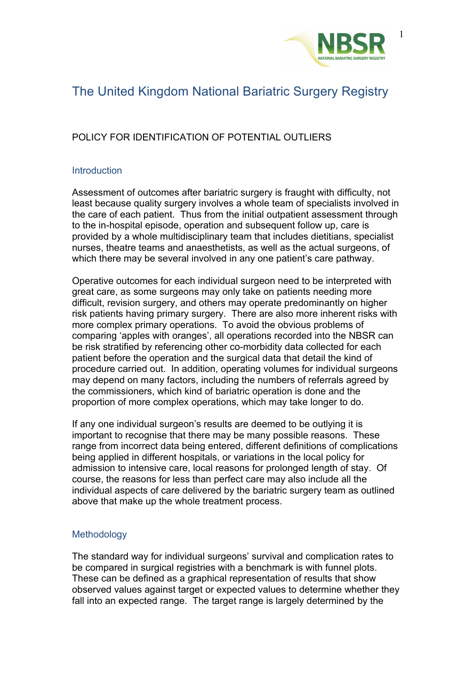

# The United Kingdom National Bariatric Surgery Registry

## POLICY FOR IDENTIFICATION OF POTENTIAL OUTLIERS

### **Introduction**

Assessment of outcomes after bariatric surgery is fraught with difficulty, not least because quality surgery involves a whole team of specialists involved in the care of each patient. Thus from the initial outpatient assessment through to the in-hospital episode, operation and subsequent follow up, care is provided by a whole multidisciplinary team that includes dietitians, specialist nurses, theatre teams and anaesthetists, as well as the actual surgeons, of which there may be several involved in any one patient's care pathway.

Operative outcomes for each individual surgeon need to be interpreted with great care, as some surgeons may only take on patients needing more difficult, revision surgery, and others may operate predominantly on higher risk patients having primary surgery. There are also more inherent risks with more complex primary operations. To avoid the obvious problems of comparing 'apples with oranges', all operations recorded into the NBSR can be risk stratified by referencing other co-morbidity data collected for each patient before the operation and the surgical data that detail the kind of procedure carried out. In addition, operating volumes for individual surgeons may depend on many factors, including the numbers of referrals agreed by the commissioners, which kind of bariatric operation is done and the proportion of more complex operations, which may take longer to do.

If any one individual surgeon's results are deemed to be outlying it is important to recognise that there may be many possible reasons. These range from incorrect data being entered, different definitions of complications being applied in different hospitals, or variations in the local policy for admission to intensive care, local reasons for prolonged length of stay. Of course, the reasons for less than perfect care may also include all the individual aspects of care delivered by the bariatric surgery team as outlined above that make up the whole treatment process.

### Methodology

The standard way for individual surgeons' survival and complication rates to be compared in surgical registries with a benchmark is with funnel plots. These can be defined as a graphical representation of results that show observed values against target or expected values to determine whether they fall into an expected range. The target range is largely determined by the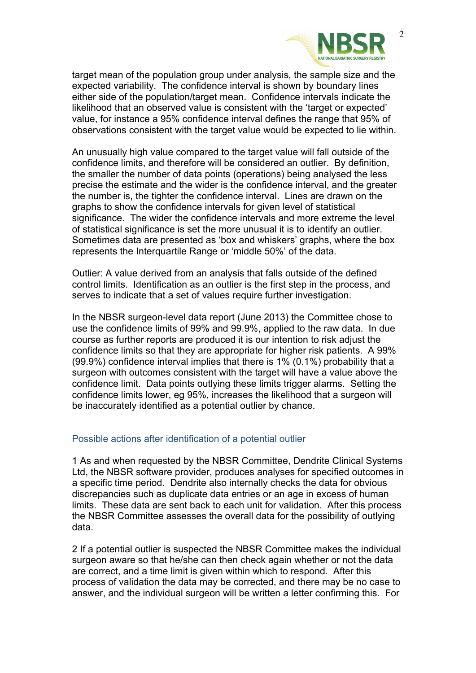

target mean of the population group under analysis, the sample size and the expected variability. The confidence interval is shown by boundary lines either side of the population/target mean. Confidence intervals indicate the likelihood that an observed value is consistent with the 'target or expected' value, for instance a 95% confidence interval defines the range that 95% of observations consistent with the target value would be expected to lie within.

An unusually high value compared to the target value will fall outside of the confidence limits, and therefore will be considered an outlier. By definition, the smaller the number of data points (operations) being analysed the less precise the estimate and the wider is the confidence interval, and the greater the number is, the tighter the confidence interval. Lines are drawn on the graphs to show the confidence intervals for given level of statistical significance. The wider the confidence intervals and more extreme the level of statistical significance is set the more unusual it is to identify an outlier. Sometimes data are presented as 'box and whiskers' graphs, where the box represents the Interquartile Range or 'middle 50%' of the data.

Outlier: A value derived from an analysis that falls outside of the defined control limits. Identification as an outlier is the first step in the process, and serves to indicate that a set of values require further investigation.

In the NBSR surgeon-level data report (June 2013) the Committee chose to use the confidence limits of 99% and 99.9%, applied to the raw data. In due course as further reports are produced it is our intention to risk adjust the confidence limits so that they are appropriate for higher risk patients. A 99% (99.9%) confidence interval implies that there is 1% (0.1%) probability that a surgeon with outcomes consistent with the target will have a value above the confidence limit. Data points outlying these limits trigger alarms. Setting the confidence limits lower, eg 95%, increases the likelihood that a surgeon will be inaccurately identified as a potential outlier by chance.

#### Possible actions after identification of a potential outlier

1 As and when requested by the NBSR Committee, Dendrite Clinical Systems Ltd, the NBSR software provider, produces analyses for specified outcomes in a specific time period. Dendrite also internally checks the data for obvious discrepancies such as duplicate data entries or an age in excess of human limits. These data are sent back to each unit for validation. After this process the NBSR Committee assesses the overall data for the possibility of outlying data.

2 If a potential outlier is suspected the NBSR Committee makes the individual surgeon aware so that he/she can then check again whether or not the data are correct, and a time limit is given within which to respond. After this process of validation the data may be corrected, and there may be no case to answer, and the individual surgeon will be written a letter confirming this. For